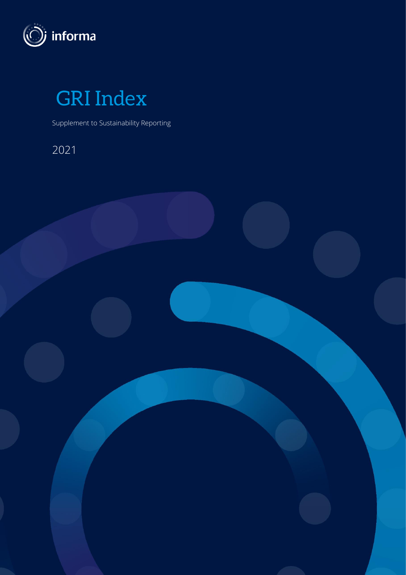

GRI Index

Supplement to Sustainability Reporting

2021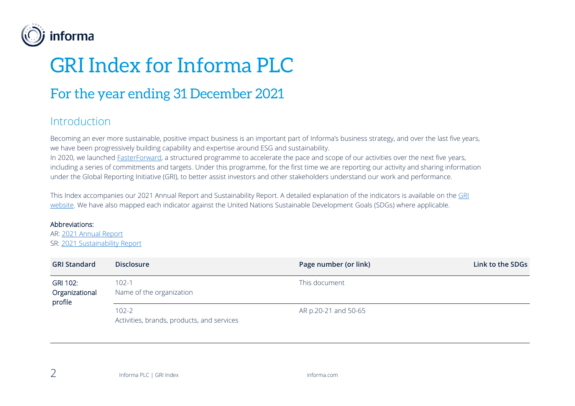

## GRI Index for Informa PLC

## For the year ending 31 December 2021

## Introduction

Becoming an ever more sustainable, positive impact business is an important part of Informa's business strategy, and over the last five years, we have been progressively building capability and expertise around ESG and sustainability.

In 2020, we launched [FasterForward,](https://www.informa.com/sustainability/faster-forward/) a structured programme to accelerate the pace and scope of our activities over the next five years, including a series of commitments and targets. Under this programme, for the first time we are reporting our activity and sharing information under the Global Reporting Initiative (GRI), to better assist investors and other stakeholders understand our work and performance.

This Index accompanies our 2021 Annual Report and Sustainability Report. A detailed explanation of the indicators is available on the GRI [website.](https://www.globalreporting.org/standards/) We have also mapped each indicator against the United Nations Sustainable Development Goals (SDGs) where applicable.

## Abbreviations:

AR: [2021 Annual Report](https://www.informa.com/globalassets/documents/investor-relations/2022/informa-annual-report-2021.pdf) SR: [2021 Sustainability Report](https://www.informa.com/globalassets/documents/sustainability/reporting/2021/2021-informa-sustainability-report.pdf)

| <b>GRI Standard</b>                   | <b>Disclosure</b>                                       | Page number (or link) | Link to the SDGs |
|---------------------------------------|---------------------------------------------------------|-----------------------|------------------|
| GRI 102:<br>Organizational<br>profile | $102 - 1$<br>Name of the organization                   | This document         |                  |
|                                       | $102 - 2$<br>Activities, brands, products, and services | AR p.20-21 and 50-65  |                  |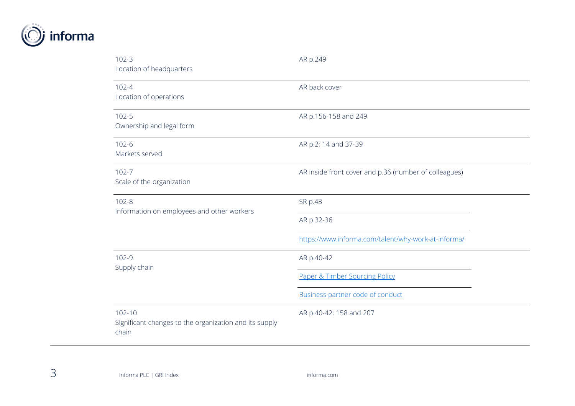

| $102 - 3$<br>Location of headquarters                                         | AR p.249                                              |
|-------------------------------------------------------------------------------|-------------------------------------------------------|
| $102 - 4$<br>Location of operations                                           | AR back cover                                         |
| $102 - 5$<br>Ownership and legal form                                         | AR p.156-158 and 249                                  |
| $102 - 6$<br>Markets served                                                   | AR p.2; 14 and 37-39                                  |
| $102 - 7$<br>Scale of the organization                                        | AR inside front cover and p.36 (number of colleagues) |
| $102 - 8$<br>Information on employees and other workers                       | SR p.43                                               |
|                                                                               | AR p.32-36                                            |
|                                                                               | https://www.informa.com/talent/why-work-at-informa/   |
| $102 - 9$<br>Supply chain                                                     | AR p.40-42                                            |
|                                                                               | Paper & Timber Sourcing Policy                        |
|                                                                               | Business partner code of conduct                      |
| $102 - 10$<br>Significant changes to the organization and its supply<br>chain | AR p.40-42; 158 and 207                               |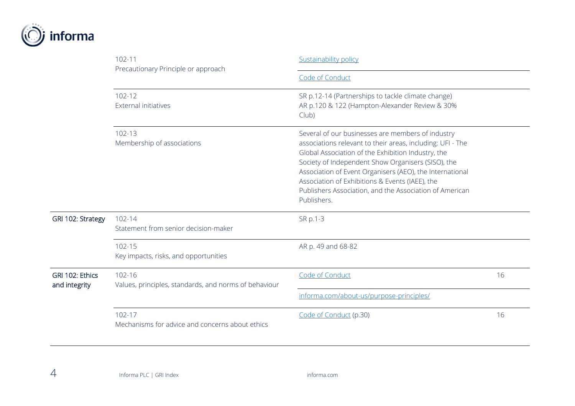

|                                  | $102 - 11$<br>Precautionary Principle or approach               | <b>Sustainability policy</b><br>Code of Conduct                                                                                                                                                                                                                                                                                                                                                                      |    |  |
|----------------------------------|-----------------------------------------------------------------|----------------------------------------------------------------------------------------------------------------------------------------------------------------------------------------------------------------------------------------------------------------------------------------------------------------------------------------------------------------------------------------------------------------------|----|--|
|                                  |                                                                 |                                                                                                                                                                                                                                                                                                                                                                                                                      |    |  |
|                                  | $102 - 12$<br>External initiatives                              | SR p.12-14 (Partnerships to tackle climate change)<br>AR p.120 & 122 (Hampton-Alexander Review & 30%<br>Club)                                                                                                                                                                                                                                                                                                        |    |  |
|                                  | 102-13<br>Membership of associations                            | Several of our businesses are members of industry<br>associations relevant to their areas, including: UFI - The<br>Global Association of the Exhibition Industry, the<br>Society of Independent Show Organisers (SISO), the<br>Association of Event Organisers (AEO), the International<br>Association of Exhibitions & Events (IAEE), the<br>Publishers Association, and the Association of American<br>Publishers. |    |  |
| GRI 102: Strategy                | 102-14<br>Statement from senior decision-maker                  | SR p.1-3                                                                                                                                                                                                                                                                                                                                                                                                             |    |  |
|                                  | 102-15<br>Key impacts, risks, and opportunities                 | AR p. 49 and 68-82                                                                                                                                                                                                                                                                                                                                                                                                   |    |  |
| GRI 102: Ethics<br>and integrity | 102-16<br>Values, principles, standards, and norms of behaviour | Code of Conduct                                                                                                                                                                                                                                                                                                                                                                                                      | 16 |  |
|                                  |                                                                 | informa.com/about-us/purpose-principles/                                                                                                                                                                                                                                                                                                                                                                             |    |  |
|                                  | $102 - 17$<br>Mechanisms for advice and concerns about ethics   | Code of Conduct (p.30)                                                                                                                                                                                                                                                                                                                                                                                               | 16 |  |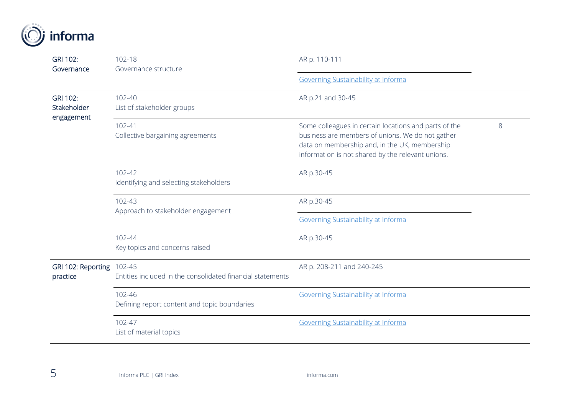| GRI 102:<br>Governance                       | 102-18<br>Governance structure                             | AR p. 110-111                                                                                                                                                                                                   |   |
|----------------------------------------------|------------------------------------------------------------|-----------------------------------------------------------------------------------------------------------------------------------------------------------------------------------------------------------------|---|
|                                              |                                                            | Governing Sustainability at Informa                                                                                                                                                                             |   |
| <b>GRI 102:</b><br>Stakeholder<br>engagement | 102-40<br>List of stakeholder groups                       | AR p.21 and 30-45                                                                                                                                                                                               |   |
|                                              | $102 - 41$<br>Collective bargaining agreements             | Some colleagues in certain locations and parts of the<br>business are members of unions. We do not gather<br>data on membership and, in the UK, membership<br>information is not shared by the relevant unions. | 8 |
|                                              | $102 - 42$<br>Identifying and selecting stakeholders       | AR p.30-45                                                                                                                                                                                                      |   |
|                                              | 102-43<br>Approach to stakeholder engagement               | AR p.30-45<br>Governing Sustainability at Informa                                                                                                                                                               |   |
|                                              | 102-44<br>Key topics and concerns raised                   | AR p.30-45                                                                                                                                                                                                      |   |
| GRI 102: Reporting 102-45<br>practice        | Entities included in the consolidated financial statements | AR p. 208-211 and 240-245                                                                                                                                                                                       |   |
|                                              | 102-46<br>Defining report content and topic boundaries     | Governing Sustainability at Informa                                                                                                                                                                             |   |
|                                              | 102-47<br>List of material topics                          | Governing Sustainability at Informa                                                                                                                                                                             |   |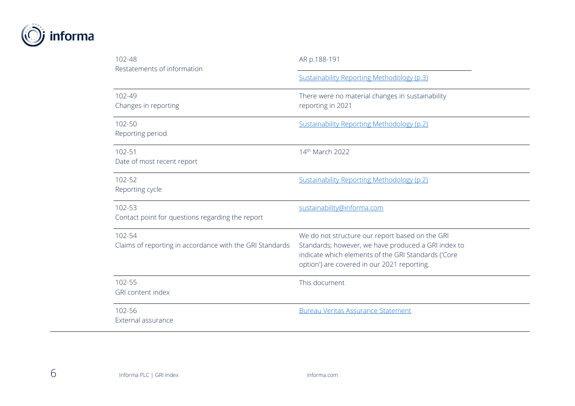

| 102-48<br>Restatements of information                              | AR p.188-191                                                                                                                                                                                                 |
|--------------------------------------------------------------------|--------------------------------------------------------------------------------------------------------------------------------------------------------------------------------------------------------------|
|                                                                    | <b>Sustainability Reporting Methodology (p.3)</b>                                                                                                                                                            |
| 102-49<br>Changes in reporting                                     | There were no material changes in sustainability<br>reporting in 2021                                                                                                                                        |
| 102-50<br>Reporting period                                         | Sustainability Reporting Methodology (p.2)                                                                                                                                                                   |
| 102-51<br>Date of most recent report                               | 14th March 2022                                                                                                                                                                                              |
| 102-52<br>Reporting cycle                                          | <b>Sustainability Reporting Methodology (p.2)</b>                                                                                                                                                            |
| 102-53<br>Contact point for questions regarding the report         | sustainability@informa.com                                                                                                                                                                                   |
| 102-54<br>Claims of reporting in accordance with the GRI Standards | We do not structure our report based on the GRI<br>Standards; however, we have produced a GRI index to<br>indicate which elements of the GRI Standards ('Core<br>option') are covered in our 2021 reporting. |
| 102-55<br><b>GRI</b> content index                                 | This document                                                                                                                                                                                                |
| 102-56<br>External assurance                                       | <b>Bureau Veritas Assurance Statement</b>                                                                                                                                                                    |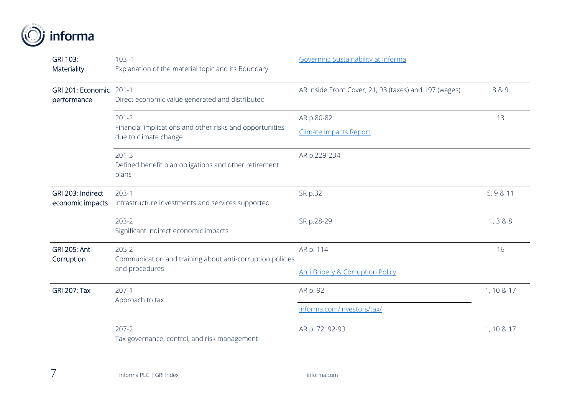

| GRI 103:<br>Materiality                | $103 - 1$<br>Explanation of the material topic and its Boundary                   | Governing Sustainability at Informa                   |              |
|----------------------------------------|-----------------------------------------------------------------------------------|-------------------------------------------------------|--------------|
| GRI 201: Economic 201-1<br>performance | Direct economic value generated and distributed                                   | AR Inside Front Cover, 21, 93 (taxes) and 197 (wages) | 8&9          |
|                                        | $201 - 2$                                                                         | AR p.80-82                                            | 13           |
|                                        | Financial implications and other risks and opportunities<br>due to climate change | <b>Climate Impacts Report</b>                         |              |
|                                        | $201 - 3$<br>Defined benefit plan obligations and other retirement<br>plans       | AR p.229-234                                          |              |
| GRI 203: Indirect<br>economic impacts  | $203-1$<br>Infrastructure investments and services supported                      | SR p.32                                               | 5, 9 & 11    |
|                                        | $203 - 2$<br>Significant indirect economic impacts                                | SR p.28-29                                            | 1, 3 & 8 & 8 |
| <b>GRI 205: Anti</b><br>Corruption     | $205 - 2$<br>Communication and training about anti-corruption policies            | AR p. 114                                             | 16           |
|                                        | and procedures                                                                    | <b>Anti Bribery &amp; Corruption Policy</b>           |              |
| <b>GRI 207: Tax</b>                    | $207-1$<br>Approach to tax                                                        | AR p. 92                                              | 1, 10 & 17   |
|                                        |                                                                                   | informa.com/investors/tax/                            |              |
|                                        | $207 - 2$<br>Tax governance, control, and risk management                         | AR p. 72; 92-93                                       | 1, 10 & 17   |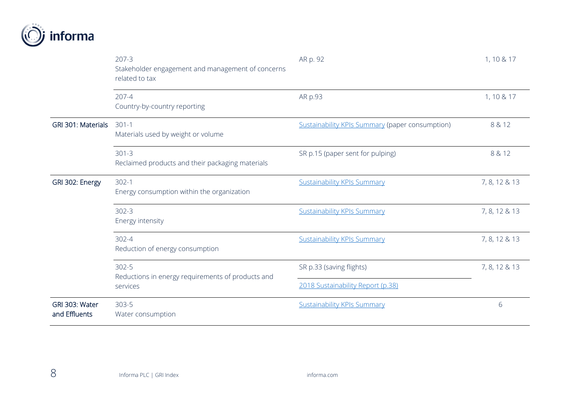

|                                 | $207 - 3$<br>Stakeholder engagement and management of concerns<br>related to tax | AR p. 92                                                      | 1, 10 & 17    |
|---------------------------------|----------------------------------------------------------------------------------|---------------------------------------------------------------|---------------|
|                                 | $207 - 4$<br>Country-by-country reporting                                        | AR p.93                                                       | 1, 10 & 17    |
| GRI 301: Materials              | $301 - 1$<br>Materials used by weight or volume                                  | <b>Sustainability KPIs Summary (paper consumption)</b>        | 8 & 12        |
|                                 | $301 - 3$<br>Reclaimed products and their packaging materials                    | SR p.15 (paper sent for pulping)                              | 8 & 12        |
| GRI 302: Energy                 | $302-1$<br>Energy consumption within the organization                            | <b>Sustainability KPIs Summary</b>                            | 7, 8, 12 & 13 |
|                                 | $302 - 3$<br>Energy intensity                                                    | <b>Sustainability KPIs Summary</b>                            | 7, 8, 12 & 13 |
|                                 | $302 - 4$<br>Reduction of energy consumption                                     | <b>Sustainability KPIs Summary</b>                            | 7, 8, 12 & 13 |
|                                 | $302 - 5$<br>Reductions in energy requirements of products and<br>services       | SR p.33 (saving flights)<br>2018 Sustainability Report (p.38) | 7, 8, 12 & 13 |
| GRI 303: Water<br>and Effluents | $303 - 5$<br>Water consumption                                                   | <b>Sustainability KPIs Summary</b>                            | 6             |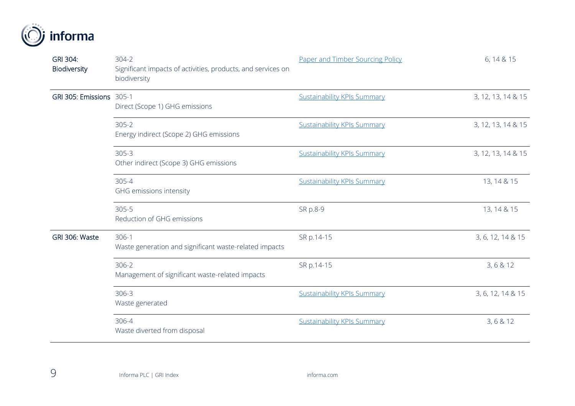

| GRI 304:<br>Biodiversity | $304 - 2$<br>Significant impacts of activities, products, and services on<br>biodiversity | Paper and Timber Sourcing Policy   | 6, 14 & 15         |
|--------------------------|-------------------------------------------------------------------------------------------|------------------------------------|--------------------|
| GRI 305: Emissions 305-1 | Direct (Scope 1) GHG emissions                                                            | <b>Sustainability KPIs Summary</b> | 3, 12, 13, 14 & 15 |
|                          | $305 - 2$<br>Energy indirect (Scope 2) GHG emissions                                      | <b>Sustainability KPIs Summary</b> | 3, 12, 13, 14 & 15 |
|                          | $305 - 3$<br>Other indirect (Scope 3) GHG emissions                                       | <b>Sustainability KPIs Summary</b> | 3, 12, 13, 14 & 15 |
|                          | $305 - 4$<br>GHG emissions intensity                                                      | <b>Sustainability KPIs Summary</b> | 13, 14 & 15        |
|                          | $305 - 5$<br>Reduction of GHG emissions                                                   | SR p.8-9                           | 13, 14 & 15        |
| GRI 306: Waste           | $306-1$<br>Waste generation and significant waste-related impacts                         | SR p.14-15                         | 3, 6, 12, 14 & 15  |
|                          | $306 - 2$<br>Management of significant waste-related impacts                              | SR p.14-15                         | 3, 6 & 12          |
|                          | $306 - 3$<br>Waste generated                                                              | <b>Sustainability KPIs Summary</b> | 3, 6, 12, 14 & 15  |
|                          | 306-4<br>Waste diverted from disposal                                                     | <b>Sustainability KPIs Summary</b> | 3, 6 & 12          |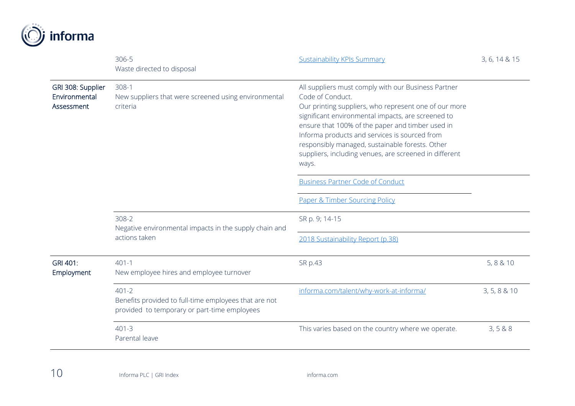

|                                                  | 306-5<br>Waste directed to disposal                                                                                | <b>Sustainability KPIs Summary</b>                                                                                                                                                                                                                                                                                                                                                                                | 3, 6, 14 & 15 |
|--------------------------------------------------|--------------------------------------------------------------------------------------------------------------------|-------------------------------------------------------------------------------------------------------------------------------------------------------------------------------------------------------------------------------------------------------------------------------------------------------------------------------------------------------------------------------------------------------------------|---------------|
| GRI 308: Supplier<br>Environmental<br>Assessment | $308-1$<br>New suppliers that were screened using environmental<br>criteria                                        | All suppliers must comply with our Business Partner<br>Code of Conduct.<br>Our printing suppliers, who represent one of our more<br>significant environmental impacts, are screened to<br>ensure that 100% of the paper and timber used in<br>Informa products and services is sourced from<br>responsibly managed, sustainable forests. Other<br>suppliers, including venues, are screened in different<br>ways. |               |
|                                                  |                                                                                                                    | <b>Business Partner Code of Conduct</b>                                                                                                                                                                                                                                                                                                                                                                           |               |
|                                                  |                                                                                                                    | Paper & Timber Sourcing Policy                                                                                                                                                                                                                                                                                                                                                                                    |               |
|                                                  | $308 - 2$<br>Negative environmental impacts in the supply chain and                                                | SR p. 9; 14-15                                                                                                                                                                                                                                                                                                                                                                                                    |               |
|                                                  | actions taken                                                                                                      | 2018 Sustainability Report (p.38)                                                                                                                                                                                                                                                                                                                                                                                 |               |
| GRI 401:<br>Employment                           | $401 - 1$<br>New employee hires and employee turnover                                                              | SR p.43                                                                                                                                                                                                                                                                                                                                                                                                           | 5, 8 & 10     |
|                                                  | $401 - 2$<br>Benefits provided to full-time employees that are not<br>provided to temporary or part-time employees | informa.com/talent/why-work-at-informa/                                                                                                                                                                                                                                                                                                                                                                           | 3, 5, 8 & 10  |
|                                                  | $401 - 3$<br>Parental leave                                                                                        | This varies based on the country where we operate.                                                                                                                                                                                                                                                                                                                                                                | 3, 5 & 8 & 8  |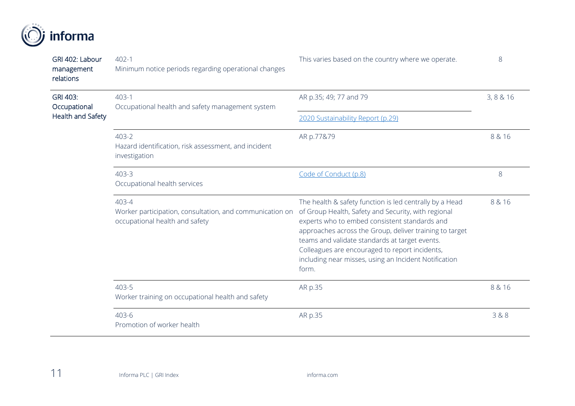

| GRI 402: Labour<br>management<br>relations | $402 - 1$<br>Minimum notice periods regarding operational changes                                   | This varies based on the country where we operate.                                                                                                                                                                                                                                                                                                                                               | 8         |
|--------------------------------------------|-----------------------------------------------------------------------------------------------------|--------------------------------------------------------------------------------------------------------------------------------------------------------------------------------------------------------------------------------------------------------------------------------------------------------------------------------------------------------------------------------------------------|-----------|
| GRI 403:<br>Occupational                   | $403-1$<br>Occupational health and safety management system                                         | AR p.35; 49; 77 and 79                                                                                                                                                                                                                                                                                                                                                                           | 3, 8 & 16 |
| Health and Safety                          |                                                                                                     | 2020 Sustainability Report (p.29)                                                                                                                                                                                                                                                                                                                                                                |           |
|                                            | 403-2<br>Hazard identification, risk assessment, and incident<br>investigation                      | AR p.77&79                                                                                                                                                                                                                                                                                                                                                                                       | 8 & 16    |
|                                            | 403-3<br>Occupational health services                                                               | Code of Conduct (p.8)                                                                                                                                                                                                                                                                                                                                                                            | 8         |
|                                            | 403-4<br>Worker participation, consultation, and communication on<br>occupational health and safety | The health & safety function is led centrally by a Head<br>of Group Health, Safety and Security, with regional<br>experts who to embed consistent standards and<br>approaches across the Group, deliver training to target<br>teams and validate standards at target events.<br>Colleagues are encouraged to report incidents,<br>including near misses, using an Incident Notification<br>form. | 8 & 16    |
|                                            | 403-5<br>Worker training on occupational health and safety                                          | AR p.35                                                                                                                                                                                                                                                                                                                                                                                          | 8 & 16    |
|                                            | 403-6<br>Promotion of worker health                                                                 | AR p.35                                                                                                                                                                                                                                                                                                                                                                                          | 3&8       |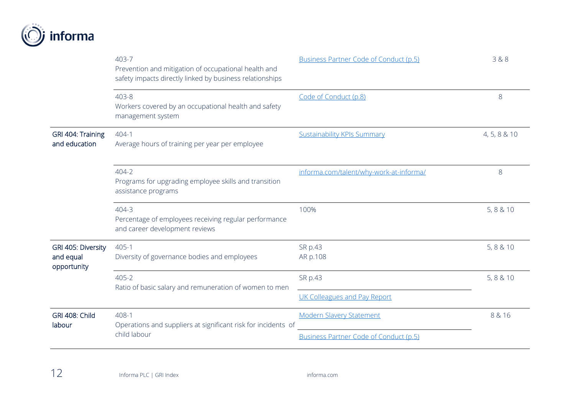

|                                                | 403-7<br>Prevention and mitigation of occupational health and<br>safety impacts directly linked by business relationships | Business Partner Code of Conduct (p.5)  | 3&8          |
|------------------------------------------------|---------------------------------------------------------------------------------------------------------------------------|-----------------------------------------|--------------|
|                                                | 403-8<br>Workers covered by an occupational health and safety<br>management system                                        | Code of Conduct (p.8)                   | 8            |
| GRI 404: Training<br>and education             | 404-1<br>Average hours of training per year per employee                                                                  | <b>Sustainability KPIs Summary</b>      | 4, 5, 8 & 10 |
|                                                | 404-2<br>Programs for upgrading employee skills and transition<br>assistance programs                                     | informa.com/talent/why-work-at-informa/ | 8            |
|                                                | 404-3<br>Percentage of employees receiving regular performance<br>and career development reviews                          | 100%                                    | 5, 8 & 10    |
| GRI 405: Diversity<br>and equal<br>opportunity | $405 - 1$<br>Diversity of governance bodies and employees                                                                 | SR p.43<br>AR p.108                     | 5, 8 & 10    |
|                                                | 405-2<br>Ratio of basic salary and remuneration of women to men                                                           | SR p.43<br>UK Colleagues and Pay Report | 5, 8 & 10    |
| <b>GRI 408: Child</b><br>labour                | 408-1<br>Operations and suppliers at significant risk for incidents of<br>child labour                                    | <b>Modern Slavery Statement</b>         | 8 & 16       |
|                                                |                                                                                                                           | Business Partner Code of Conduct (p.5)  |              |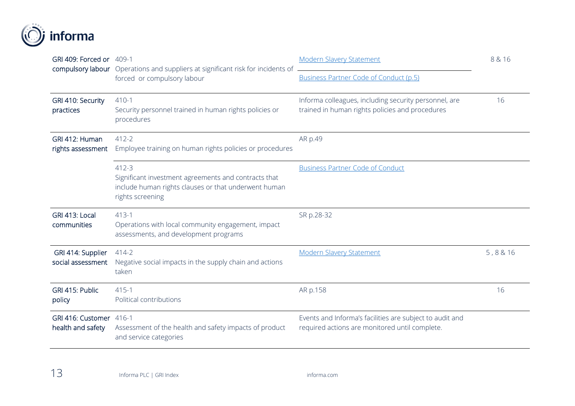

| GRI 409: Forced or 409-1                     | compulsory labour Operations and suppliers at significant risk for incidents of                                                               | <b>Modern Slavery Statement</b>                                                                            | 8 & 16 |
|----------------------------------------------|-----------------------------------------------------------------------------------------------------------------------------------------------|------------------------------------------------------------------------------------------------------------|--------|
|                                              | forced or compulsory labour                                                                                                                   | <b>Business Partner Code of Conduct (p.5)</b>                                                              |        |
| GRI 410: Security<br>practices               | $410-1$<br>Security personnel trained in human rights policies or<br>procedures                                                               | Informa colleagues, including security personnel, are<br>trained in human rights policies and procedures   | 16     |
| GRI 412: Human<br>rights assessment          | $412 - 2$<br>Employee training on human rights policies or procedures                                                                         | AR p.49                                                                                                    |        |
|                                              | $412 - 3$<br>Significant investment agreements and contracts that<br>include human rights clauses or that underwent human<br>rights screening | <b>Business Partner Code of Conduct</b>                                                                    |        |
| GRI 413: Local<br>communities                | $413-1$<br>Operations with local community engagement, impact<br>assessments, and development programs                                        | SR p.28-32                                                                                                 |        |
| GRI 414: Supplier<br>social assessment       | $414 - 2$<br>Negative social impacts in the supply chain and actions<br>taken                                                                 | <b>Modern Slavery Statement</b>                                                                            | 5,8&16 |
| GRI 415: Public<br>policy                    | $415 - 1$<br>Political contributions                                                                                                          | AR p.158                                                                                                   | 16     |
| GRI 416: Customer 416-1<br>health and safety | Assessment of the health and safety impacts of product<br>and service categories                                                              | Events and Informa's facilities are subject to audit and<br>required actions are monitored until complete. |        |